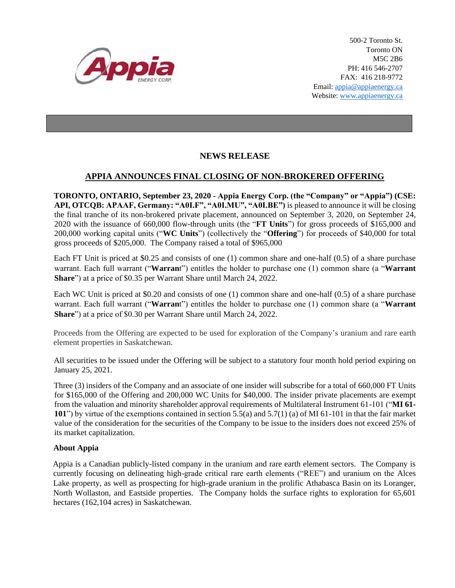

500-2 Toronto St. Toronto ON M5C 2B6 PH: 416 546-2707 FAX: 416 218-9772 Email: appia@appiaenergy.ca Website: www.appiaenergy.ca

## **NEWS RELEASE**

## **APPIA ANNOUNCES FINAL CLOSING OF NON-BROKERED OFFERING**

**TORONTO, ONTARIO, September 23, 2020 - Appia Energy Corp. (the "Company" or "Appia") (CSE: API, OTCQB: APAAF, Germany: "A0I.F", "A0I.MU", "A0I.BE")** is pleased to announce it will be closing the final tranche of its non-brokered private placement, announced on September 3, 2020, on September 24, 2020 with the issuance of 660,000 flow-through units (the "**FT Units**") for gross proceeds of \$165,000 and 200,000 working capital units ("**WC Units**") (collectively the "**Offering**") for proceeds of \$40,000 for total gross proceeds of \$205,000. The Company raised a total of \$965,000

Each FT Unit is priced at \$0.25 and consists of one (1) common share and one-half (0.5) of a share purchase warrant. Each full warrant ("**Warran**t") entitles the holder to purchase one (1) common share (a "**Warrant Share**") at a price of \$0.35 per Warrant Share until March 24, 2022.

Each WC Unit is priced at \$0.20 and consists of one (1) common share and one-half (0.5) of a share purchase warrant. Each full warrant ("**Warran**t") entitles the holder to purchase one (1) common share (a "**Warrant Share**") at a price of \$0.30 per Warrant Share until March 24, 2022.

Proceeds from the Offering are expected to be used for exploration of the Company's uranium and rare earth element properties in Saskatchewan.

All securities to be issued under the Offering will be subject to a statutory four month hold period expiring on January 25, 2021.

Three (3) insiders of the Company and an associate of one insider will subscribe for a total of 660,000 FT Units for \$165,000 of the Offering and 200,000 WC Units for \$40,000. The insider private placements are exempt from the valuation and minority shareholder approval requirements of Multilateral Instrument 61-101 ("**MI 61- 101**") by virtue of the exemptions contained in section 5.5(a) and 5.7(1) (a) of MI 61-101 in that the fair market value of the consideration for the securities of the Company to be issue to the insiders does not exceed 25% of its market capitalization.

## **About Appia**

Appia is a Canadian publicly-listed company in the uranium and rare earth element sectors. The Company is currently focusing on delineating high-grade critical rare earth elements ("REE") and uranium on the Alces Lake property, as well as prospecting for high-grade uranium in the prolific Athabasca Basin on its Loranger, North Wollaston, and Eastside properties. The Company holds the surface rights to exploration for 65,601 hectares (162,104 acres) in Saskatchewan.